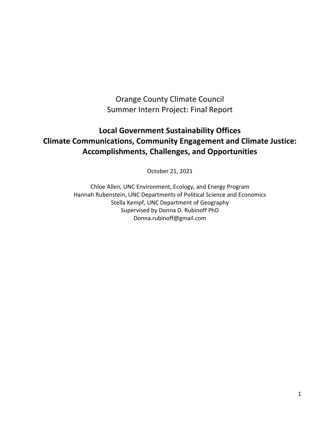Orange County Climate Council Summer Intern Project: Final Report

# **Local Government Sustainability Offices Climate Communications, Community Engagement and Climate Justice: Accomplishments, Challenges, and Opportunities**

October 21, 2021

Chloe Allen, UNC Environment, Ecology, and Energy Program Hannah Rubenstein, UNC Departments of Political Science and Economics Stella Kempf, UNC Department of Geography Supervised by Donna D. Rubinoff PhD Donna.rubinoff@gmail.com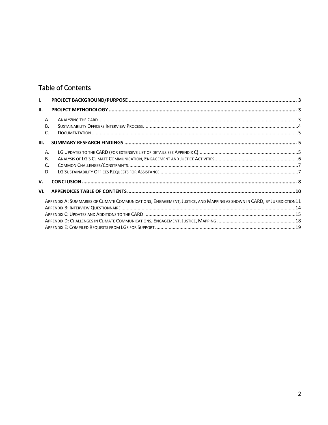# Table of Contents

| I.                          |                                                                                                                       |  |  |  |
|-----------------------------|-----------------------------------------------------------------------------------------------------------------------|--|--|--|
| II.                         |                                                                                                                       |  |  |  |
| A.<br><b>B.</b><br>C.       |                                                                                                                       |  |  |  |
| III.                        |                                                                                                                       |  |  |  |
| A.<br><b>B.</b><br>C.<br>D. |                                                                                                                       |  |  |  |
| V.                          |                                                                                                                       |  |  |  |
| VI.                         |                                                                                                                       |  |  |  |
|                             | APPENDIX A: SUMMARIES OF CLIMATE COMMUNICATIONS, ENGAGEMENT, JUSTICE, AND MAPPING AS SHOWN IN CARD, BY JURISDICTION11 |  |  |  |
|                             |                                                                                                                       |  |  |  |
|                             |                                                                                                                       |  |  |  |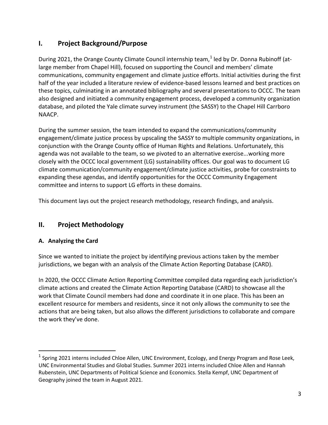# <span id="page-2-0"></span>**I. Project Background/Purpose**

During 202[1](#page-2-3), the Orange County Climate Council internship team,<sup>1</sup> led by Dr. Donna Rubinoff (atlarge member from Chapel Hill), focused on supporting the Council and members' climate communications, community engagement and climate justice efforts. Initial activities during the first half of the year included a literature review of evidence-based lessons learned and best practices on these topics, culminating in an annotated bibliography and several presentations to OCCC. The team also designed and initiated a community engagement process, developed a community organization database, and piloted the Yale climate survey instrument (the SASSY) to the Chapel Hill Carrboro NAACP.

During the summer session, the team intended to expand the communications/community engagement/climate justice process by upscaling the SASSY to multiple community organizations, in conjunction with the Orange County office of Human Rights and Relations. Unfortunately, this agenda was not available to the team, so we pivoted to an alternative exercise...working more closely with the OCCC local government (LG) sustainability offices. Our goal was to document LG climate communication/community engagement/climate justice activities, probe for constraints to expanding these agendas, and identify opportunities for the OCCC Community Engagement committee and interns to support LG efforts in these domains.

This document lays out the project research methodology, research findings, and analysis.

## <span id="page-2-1"></span>**II. Project Methodology**

### <span id="page-2-2"></span>**A. Analyzing the Card**

Since we wanted to initiate the project by identifying previous actions taken by the member jurisdictions, we began with an analysis of the Climate Action Reporting Database (CARD).

In 2020, the OCCC Climate Action Reporting Committee compiled data regarding each jurisdiction's climate actions and created the Climate Action Reporting Database (CARD) to showcase all the work that Climate Council members had done and coordinate it in one place. This has been an excellent resource for members and residents, since it not only allows the community to see the actions that are being taken, but also allows the different jurisdictions to collaborate and compare the work they've done.

<span id="page-2-3"></span> $1$  Spring 2021 interns included Chloe Allen, UNC Environment, Ecology, and Energy Program and Rose Leek, UNC Environmental Studies and Global Studies. Summer 2021 interns included Chloe Allen and Hannah Rubenstein, UNC Departments of Political Science and Economics. Stella Kempf, UNC Department of Geography joined the team in August 2021.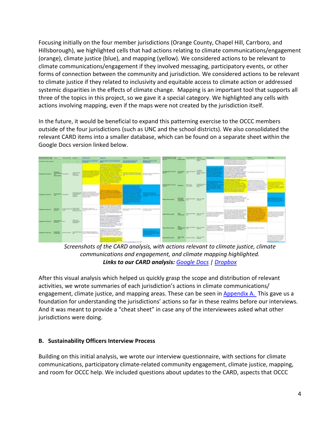Focusing initially on the four member jurisdictions (Orange County, Chapel Hill, Carrboro, and Hillsborough), we highlighted cells that had actions relating to climate communications/engagement (orange), climate justice (blue), and mapping (yellow). We considered actions to be relevant to climate communications/engagement if they involved messaging, participatory events, or other forms of connection between the community and jurisdiction. We considered actions to be relevant to climate justice if they related to inclusivity and equitable access to climate action or addressed systemic disparities in the effects of climate change. Mapping is an important tool that supports all three of the topics in this project, so we gave it a special category. We highlighted any cells with actions involving mapping, even if the maps were not created by the jurisdiction itself.

In the future, it would be beneficial to expand this patterning exercise to the OCCC members outside of the four jurisdictions (such as UNC and the school districts). We also consolidated the relevant CARD items into a smaller database, which can be found on a separate sheet within the Google Docs version linked below.



*Screenshots of the CARD analysis, with actions relevant to climate justice, climate communications and engagement, and climate mapping highlighted. Links to our CARD analysis: [Google Docs](https://docs.google.com/spreadsheets/d/1C8vowGqnwdH5RkUgYApdKHtH5hvi11235gqq_Q36JAw/edit?usp=sharing) [| Dropbox](https://www.dropbox.com/scl/fi/59kqzkitxn38o574k92ev/2021.7.20-Highlighted-Orange-County-Climate-Action-Reporting-Database.xlsx.xlsx?dl=0&rlkey=xz7mkwcf00lglh6qdccgnzg0y#gid=881139625)*

After this visual analysis which helped us quickly grasp the scope and distribution of relevant activities, we wrote summaries of each jurisdiction's actions in climate communications/ engagement, climate justice, and mapping areas. These can be seen in [Appendix A.](#page-2-0) This gave us a foundation for understanding the jurisdictions' actions so far in these realms before our interviews. And it was meant to provide a "cheat sheet" in case any of the interviewees asked what other jurisdictions were doing.

### <span id="page-3-0"></span>**B. Sustainability Officers Interview Process**

Building on this initial analysis, we wrote our interview questionnaire, with sections for climate communications, participatory climate-related community engagement, climate justice, mapping, and room for OCCC help. We included questions about updates to the CARD, aspects that OCCC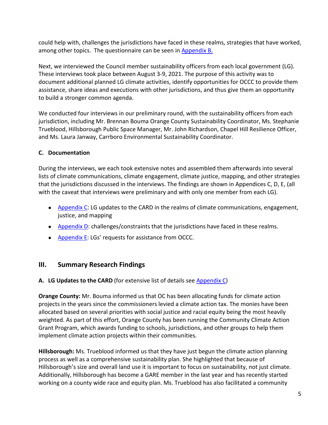could help with, challenges the jurisdictions have faced in these realms, strategies that have worked, among other topics. The questionnaire can be seen in [Appendix B.](#page-9-0)

Next, we interviewed the Council member sustainability officers from each local government (LG). These interviews took place between August 3-9, 2021. The purpose of this activity was to document additional planned LG climate activities, identify opportunities for OCCC to provide them assistance, share ideas and executions with other jurisdictions, and thus give them an opportunity to build a stronger common agenda.

We conducted four interviews in our preliminary round, with the sustainability officers from each jurisdiction, including Mr. Brennan Bouma Orange County Sustainability Coordinator, Ms. Stephanie Trueblood, Hillsborough Public Space Manager, Mr. John Richardson, Chapel Hill Resilience Officer, and Ms. Laura Janway, Carrboro Environmental Sustainability Coordinator.

### <span id="page-4-0"></span>**C. Documentation**

During the interviews, we each took extensive notes and assembled them afterwards into several lists of climate communications, climate engagement, climate justice, mapping, and other strategies that the jurisdictions discussed in the interviews. The findings are shown in Appendices C, D, E, (all with the caveat that interviews were preliminary and with only one member from each LG).

- [Appendix C:](#page-14-0) LG updates to the CARD in the realms of climate communications, engagement, justice, and mapping
- **•** [Appendix D:](#page-17-0) challenges/constraints that the jurisdictions have faced in these realms.
- [Appendix E:](#page-18-0) LGs' requests for assistance from OCCC.

## <span id="page-4-1"></span>**III. Summary Research Findings**

#### <span id="page-4-2"></span>**A. LG Updates to the CARD** (for extensive list of details see [Appendix C\)](#page-14-0)

**Orange County:** Mr. Bouma informed us that OC has been allocating funds for climate action projects in the years since the commissioners levied a climate action tax. The monies have been allocated based on several priorities with social justice and racial equity being the most heavily weighted. As part of this effort, Orange County has been running the Community Climate Action Grant Program, which awards funding to schools, jurisdictions, and other groups to help them implement climate action projects within their communities.

**Hillsborough:** Ms. Trueblood informed us that they have just begun the climate action planning process as well as a comprehensive sustainability plan. She highlighted that because of Hillsborough's size and overall land use it is important to focus on sustainability, not just climate. Additionally, Hillsborough has become a GARE member in the last year and has recently started working on a county wide race and equity plan. Ms. Trueblood has also facilitated a community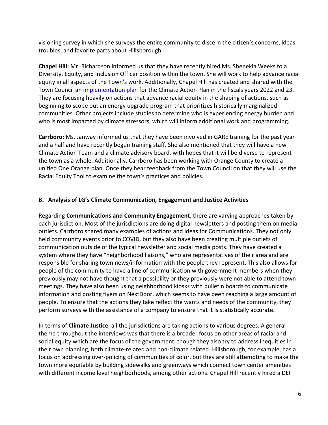visioning survey in which she surveys the entire community to discern the citizen's concerns, ideas, troubles, and favorite parts about Hillsborough.

**Chapel Hill:** Mr. Richardson informed us that they have recently hired Ms. Shenekia Weeks to a Diversity, Equity, and Inclusion Officer position within the town. She will work to help advance racial equity in all aspects of the Town's work. Additionally, Chapel Hill has created and shared with the Town Council an [implementation plan](http://chapelhill.legistar.com/gateway.aspx?M=F&ID=971505b1-a7d5-412c-a517-cdadedb57433.pdf) for the Climate Action Plan in the fiscals years 2022 and 23. They are focusing heavily on actions that advance racial equity in the shaping of actions, such as beginning to scope out an energy upgrade program that prioritizes historically marginalized communities. Other projects include studies to determine who is experiencing energy burden and who is most impacted by climate stressors, which will inform additional work and programming.

**Carrboro:** Ms. Janway informed us that they have been involved in GARE training for the past year and a half and have recently begun training staff. She also mentioned that they will have a new Climate Action Team and a climate advisory board, with hopes that it will be diverse to represent the town as a whole. Additionally, Carrboro has been working with Orange County to create a unified One Orange plan. Once they hear feedback from the Town Council on that they will use the Racial Equity Tool to examine the town's practices and policies.

#### <span id="page-5-0"></span>**B. Analysis of LG's Climate Communication, Engagement and Justice Activities**

Regarding **Communications and Community Engagement**, there are varying approaches taken by each jurisdiction. Most of the jurisdictions are doing digital newsletters and posting them on media outlets. Carrboro shared many examples of actions and ideas for Communications. They not only held community events prior to COVID, but they also have been creating multiple outlets of communication outside of the typical newsletter and social media posts. They have created a system where they have "neighborhood liaisons," who are representatives of their area and are responsible for sharing town news/information with the people they represent. This also allows for people of the community to have a line of communication with government members when they previously may not have thought that a possibility or they previously were not able to attend town meetings. They have also been using neighborhood kiosks with bulletin boards to communicate information and posting flyers on NextDoor, which seems to have been reaching a large amount of people. To ensure that the actions they take reflect the wants and needs of the community, they perform surveys with the assistance of a company to ensure that it is statistically accurate.

In terms of **Climate Justice**, all the jurisdictions are taking actions to various degrees. A general theme throughout the interviews was that there is a broader focus on other areas of racial and social equity which are the focus of the government, though they also try to address inequities in their own planning, both climate-related and non-climate related. Hillsborough, for example, has a focus on addressing over-policing of communities of color, but they are still attempting to make the town more equitable by building sidewalks and greenways which connect town center amenities with different income level neighborhoods, among other actions. Chapel Hill recently hired a DEI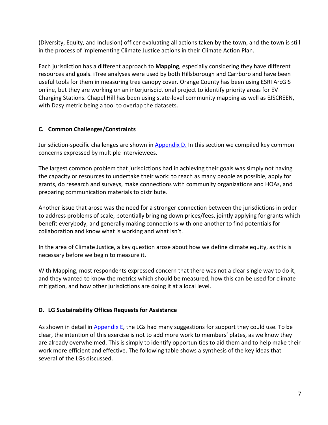(Diversity, Equity, and Inclusion) officer evaluating all actions taken by the town, and the town is still in the process of implementing Climate Justice actions in their Climate Action Plan.

Each jurisdiction has a different approach to **Mapping**, especially considering they have different resources and goals. iTree analyses were used by both Hillsborough and Carrboro and have been useful tools for them in measuring tree canopy cover. Orange County has been using ESRI ArcGIS online, but they are working on an interjurisdictional project to identify priority areas for EV Charging Stations. Chapel Hill has been using state-level community mapping as well as EJSCREEN, with Dasy metric being a tool to overlap the datasets.

### <span id="page-6-0"></span>**C. Common Challenges/Constraints**

Jurisdiction-specific challenges are shown in **Appendix D.** In this section we compiled key common concerns expressed by multiple interviewees.

The largest common problem that jurisdictions had in achieving their goals was simply not having the capacity or resources to undertake their work: to reach as many people as possible, apply for grants, do research and surveys, make connections with community organizations and HOAs, and preparing communication materials to distribute.

Another issue that arose was the need for a stronger connection between the jurisdictions in order to address problems of scale, potentially bringing down prices/fees, jointly applying for grants which benefit everybody, and generally making connections with one another to find potentials for collaboration and know what is working and what isn't.

In the area of Climate Justice, a key question arose about how we define climate equity, as this is necessary before we begin to measure it.

With Mapping, most respondents expressed concern that there was not a clear single way to do it, and they wanted to know the metrics which should be measured, how this can be used for climate mitigation, and how other jurisdictions are doing it at a local level.

### <span id="page-6-1"></span>**D. LG Sustainability Offices Requests for Assistance**

As shown in detail in **Appendix E**, the LGs had many suggestions for support they could use. To be clear, the intention of this exercise is not to add more work to members' plates, as we know they are already overwhelmed. This is simply to identify opportunities to aid them and to help make their work more efficient and effective. The following table shows a synthesis of the key ideas that several of the LGs discussed.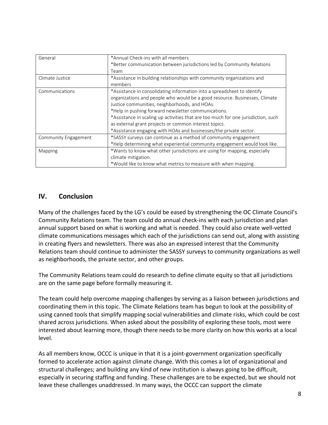| General              | *Annual Check-ins with all members                                                |  |
|----------------------|-----------------------------------------------------------------------------------|--|
|                      | *Better communication between jurisdictions led by Community Relations            |  |
|                      | Team                                                                              |  |
| Climate Justice      | *Assistance in building relationships with community organizations and            |  |
|                      | members                                                                           |  |
| Communications       | *Assistance in consolidating information into a spreadsheet to identify           |  |
|                      | organizations and people who would be a good resource. Businesses, Climate        |  |
|                      | Justice communities, neighborhoods, and HOAs.                                     |  |
|                      | *Help in pushing forward newsletter communications.                               |  |
|                      | *Assistance in scaling up activities that are too much for one jurisdiction, such |  |
|                      | as external grant projects or common interest topics.                             |  |
|                      | *Assistance engaging with HOAs and businesses/the private sector.                 |  |
| Community Engagement | *SASSY surveys can continue as a method of community engagement                   |  |
|                      | *Help determining what experiential community engagement would look like.         |  |
| Mapping              | *Wants to know what other jurisdictions are using for mapping, especially         |  |
|                      | climate mitigation.                                                               |  |
|                      | *Would like to know what metrics to measure with when mapping.                    |  |

### <span id="page-7-0"></span>**IV. Conclusion**

Many of the challenges faced by the LG's could be eased by strengthening the OC Climate Council's Community Relations team. The team could do annual check-ins with each jurisdiction and plan annual support based on what is working and what is needed. They could also create well-vetted climate communications messages which each of the jurisdictions can send out, along with assisting in creating flyers and newsletters. There was also an expressed interest that the Community Relations team should continue to administer the SASSY surveys to community organizations as well as neighborhoods, the private sector, and other groups.

The Community Relations team could do research to define climate equity so that all jurisdictions are on the same page before formally measuring it.

The team could help overcome mapping challenges by serving as a liaison between jurisdictions and coordinating them in this topic. The Climate Relations team has begun to look at the possibility of using canned tools that simplify mapping social vulnerabilities and climate risks, which could be cost shared across jurisdictions. When asked about the possibility of exploring these tools, most were interested about learning more, though there needs to be more clarity on how this works at a local level.

As all members know, OCCC is unique in that it is a joint-government organization specifically formed to accelerate action against climate change. With this comes a lot of organizational and structural challenges; and building any kind of new institution is always going to be difficult, especially in securing staffing and funding. These challenges are to be expected, but we should not leave these challenges unaddressed. In many ways, the OCCC can support the climate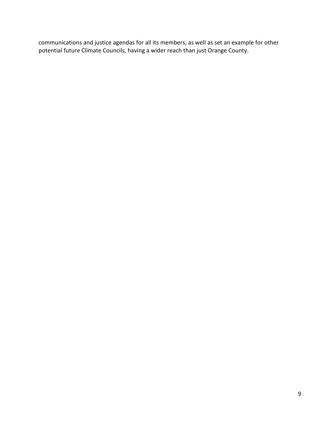communications and justice agendas for all its members, as well as set an example for other potential future Climate Councils, having a wider reach than just Orange County.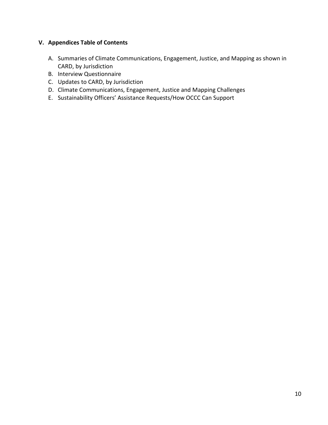### <span id="page-9-0"></span>**V. Appendices Table of Contents**

- A. Summaries of Climate Communications, Engagement, Justice, and Mapping as shown in CARD, by Jurisdiction
- B. Interview Questionnaire
- C. Updates to CARD, by Jurisdiction
- D. Climate Communications, Engagement, Justice and Mapping Challenges
- E. Sustainability Officers' Assistance Requests/How OCCC Can Support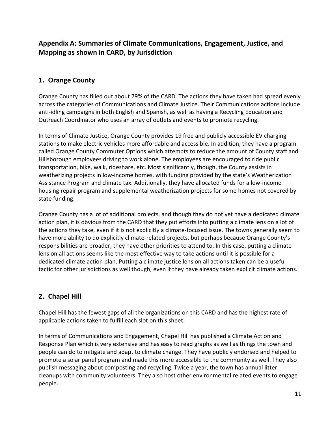# <span id="page-10-0"></span>**Appendix A: Summaries of Climate Communications, Engagement, Justice, and Mapping as shown in CARD, by Jurisdiction**

## **1. Orange County**

Orange County has filled out about 79% of the CARD. The actions they have taken had spread evenly across the categories of Communications and Climate Justice. Their Communications actions include anti-idling campaigns in both English and Spanish, as well as having a Recycling Education and Outreach Coordinator who uses an array of outlets and events to promote recycling.

In terms of Climate Justice, Orange County provides 19 free and publicly accessible EV charging stations to make electric vehicles more affordable and accessible. In addition, they have a program called Orange County Commuter Options which attempts to reduce the amount of County staff and Hillsborough employees driving to work alone. The employees are encouraged to ride public transportation, bike, walk, rideshare, etc. Most significantly, though, the County assists in weatherizing projects in low-income homes, with funding provided by the state's Weatherization Assistance Program and climate tax. Additionally, they have allocated funds for a low-income housing repair program and supplemental weatherization projects for some homes not covered by state funding.

Orange County has a lot of additional projects, and though they do not yet have a dedicated climate action plan, it is obvious from the CARD that they put efforts into putting a climate lens on a lot of the actions they take, even if it is not explicitly a climate-focused issue. The towns generally seem to have more ability to do explicitly climate-related projects, but perhaps because Orange County's responsibilities are broader, they have other priorities to attend to. In this case, putting a climate lens on all actions seems like the most effective way to take actions until it is possible for a dedicated climate action plan. Putting a climate justice lens on all actions taken can be a useful tactic for other jurisdictions as well though, even if they have already taken explicit climate actions.

# **2. Chapel Hill**

Chapel Hill has the fewest gaps of all the organizations on this CARD and has the highest rate of applicable actions taken to fulfill each slot on this sheet.

In terms of Communications and Engagement, Chapel Hill has published a Climate Action and Response Plan which is very extensive and has easy to read graphs as well as things the town and people can do to mitigate and adapt to climate change. They have publicly endorsed and helped to promote a solar panel program and made this more accessible to the community as well. They also publish messaging about composting and recycling. Twice a year, the town has annual litter cleanups with community volunteers. They also host other environmental related events to engage people.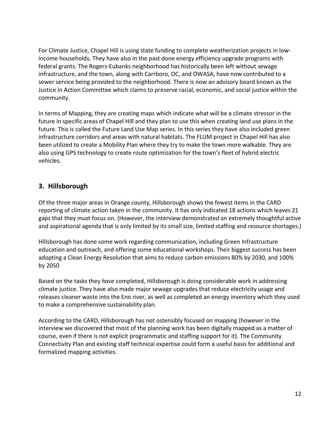For Climate Justice, Chapel Hill is using state funding to complete weatherization projects in lowincome households. They have also in the past done energy efficiency upgrade programs with federal grants. The Rogers-Eubanks neighborhood has historically been left without sewage infrastructure, and the town, along with Carrboro, OC, and OWASA, have now contributed to a sewer service being provided to the neighborhood. There is now an advisory board known as the Justice in Action Committee which claims to preserve racial, economic, and social justice within the community.

In terms of Mapping, they are creating maps which indicate what will be a climate stressor in the future in specific areas of Chapel Hill and they plan to use this when creating land use plans in the future. This is called the Future Land Use Map series. In this series they have also included green infrastructure corridors and areas with natural habitats. The FLUM project in Chapel Hill has also been utilized to create a Mobility Plan where they try to make the town more walkable. They are also using GPS technology to create route optimization for the town's fleet of hybrid electric vehicles.

## **3. Hillsborough**

Of the three major areas in Orange county, Hillsborough shows the fewest items in the CARD reporting of climate action taken in the community. It has only indicated 18 actions which leaves 21 gaps that they must focus on. (However, the interview demonstrated an extremely thoughtful active and aspirational agenda that is only limited by its small size, limited staffing and resource shortages.)

Hillsborough has done some work regarding communication, including Green Infrastructure education and outreach, and offering some educational workshops. Their biggest success has been adopting a Clean Energy Resolution that aims to reduce carbon emissions 80% by 2030, and 100% by 2050

Based on the tasks they *have* completed, Hillsborough is doing considerable work in addressing climate justice. They have also made major sewage upgrades that reduce electricity usage and releases cleaner waste into the Eno river, as well as completed an energy inventory which they used to make a comprehensive sustainability plan.

According to the CARD, Hillsborough has not ostensibly focused on mapping (however in the interview we discovered that most of the planning work has been digitally mapped as a matter of course, even if there is not explicit programmatic and staffing support for it). The Community Connectivity Plan and existing staff technical expertise could form a useful basis for additional and formalized mapping activities.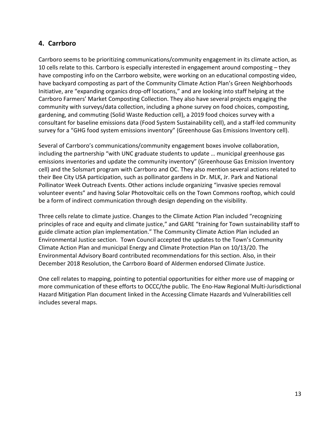## **4. Carrboro**

Carrboro seems to be prioritizing communications/community engagement in its climate action, as 10 cells relate to this. Carrboro is especially interested in engagement around composting – they have composting info on the Carrboro website, were working on an educational composting video, have backyard composting as part of the Community Climate Action Plan's Green Neighborhoods Initiative, are "expanding organics drop-off locations," and are looking into staff helping at the Carrboro Farmers' Market Composting Collection. They also have several projects engaging the community with surveys/data collection, including a phone survey on food choices, composting, gardening, and commuting (Solid Waste Reduction cell), a 2019 food choices survey with a consultant for baseline emissions data (Food System Sustainability cell), and a staff-led community survey for a "GHG food system emissions inventory" (Greenhouse Gas Emissions Inventory cell).

Several of Carrboro's communications/community engagement boxes involve collaboration, including the partnership "with UNC graduate students to update … municipal greenhouse gas emissions inventories and update the community inventory" (Greenhouse Gas Emission Inventory cell) and the Solsmart program with Carrboro and OC. They also mention several actions related to their Bee City USA participation, such as pollinator gardens in Dr. MLK, Jr. Park and National Pollinator Week Outreach Events. Other actions include organizing "invasive species removal volunteer events" and having Solar Photovoltaic cells on the Town Commons rooftop, which could be a form of indirect communication through design depending on the visibility.

Three cells relate to climate justice. Changes to the Climate Action Plan included "recognizing principles of race and equity and climate justice," and GARE "training for Town sustainability staff to guide climate action plan implementation." The Community Climate Action Plan included an Environmental Justice section. Town Council accepted the updates to the Town's Community Climate Action Plan and municipal Energy and Climate Protection Plan on 10/13/20. The Environmental Advisory Board contributed recommendations for this section. Also, in their December 2018 Resolution, the Carrboro Board of Aldermen endorsed Climate Justice.

One cell relates to mapping, pointing to potential opportunities for either more use of mapping or more communication of these efforts to OCCC/the public. The Eno-Haw Regional Multi-Jurisdictional Hazard Mitigation Plan document linked in the Accessing Climate Hazards and Vulnerabilities cell includes several maps.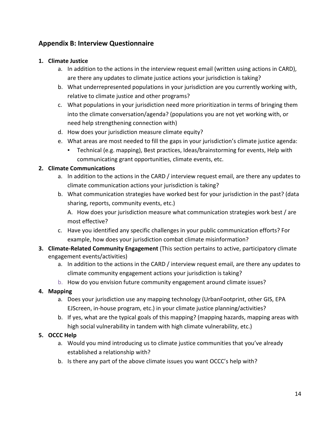# <span id="page-13-0"></span>**Appendix B: Interview Questionnaire**

### **1. Climate Justice**

- a. In addition to the actions in the interview request email (written using actions in CARD), are there any updates to climate justice actions your jurisdiction is taking?
- b. What underrepresented populations in your jurisdiction are you currently working with, relative to climate justice and other programs?
- c. What populations in your jurisdiction need more prioritization in terms of bringing them into the climate conversation/agenda? (populations you are not yet working with, or need help strengthening connection with)
- d. How does your jurisdiction measure climate equity?
- e. What areas are most needed to fill the gaps in your jurisdiction's climate justice agenda:
	- Technical (e.g. mapping), Best practices, Ideas/brainstorming for events, Help with communicating grant opportunities, climate events, etc.

#### **2. Climate Communications**

- a. In addition to the actions in the CARD / interview request email, are there any updates to climate communication actions your jurisdiction is taking?
- b. What communication strategies have worked best for your jurisdiction in the past? (data sharing, reports, community events, etc.)

A. How does your jurisdiction measure what communication strategies work best / are most effective?

- c. Have you identified any specific challenges in your public communication efforts? For example, how does your jurisdiction combat climate misinformation?
- **3. Climate-Related Community Engagement** (This section pertains to active, participatory climate engagement events/activities)
	- a. In addition to the actions in the CARD / interview request email, are there any updates to climate community engagement actions your jurisdiction is taking?
	- b. How do you envision future community engagement around climate issues?

#### **4. Mapping**

- a. Does your jurisdiction use any mapping technology (UrbanFootprint, other GIS, EPA EJScreen, in-house program, etc.) in your climate justice planning/activities?
- b. If yes, what are the typical goals of this mapping? (mapping hazards, mapping areas with high social vulnerability in tandem with high climate vulnerability, etc.)

### **5. OCCC Help**

- a. Would you mind introducing us to climate justice communities that you've already established a relationship with?
- b. Is there any part of the above climate issues you want OCCC's help with?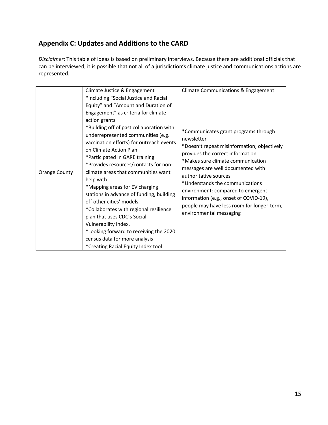# <span id="page-14-0"></span>**Appendix C: Updates and Additions to the CARD**

*Disclaimer*: This table of ideas is based on preliminary interviews. Because there are additional officials that can be interviewed, it is possible that not all of a jurisdiction's climate justice and communications actions are represented.

|               | Climate Justice & Engagement                                                                                                                                                                                                                                                                                                                                                                                                                                                                                                                                                                                                                                                                                                                             | Climate Communications & Engagement                                                                                                                                                                                                                                                                                                                                                                                                 |
|---------------|----------------------------------------------------------------------------------------------------------------------------------------------------------------------------------------------------------------------------------------------------------------------------------------------------------------------------------------------------------------------------------------------------------------------------------------------------------------------------------------------------------------------------------------------------------------------------------------------------------------------------------------------------------------------------------------------------------------------------------------------------------|-------------------------------------------------------------------------------------------------------------------------------------------------------------------------------------------------------------------------------------------------------------------------------------------------------------------------------------------------------------------------------------------------------------------------------------|
| Orange County | *Including "Social Justice and Racial<br>Equity" and "Amount and Duration of<br>Engagement" as criteria for climate<br>action grants<br>*Building off of past collaboration with<br>underrepresented communities (e.g.<br>vaccination efforts) for outreach events<br>on Climate Action Plan<br>*Participated in GARE training<br>*Provides resources/contacts for non-<br>climate areas that communities want<br>help with<br>*Mapping areas for EV charging<br>stations in advance of funding, building<br>off other cities' models.<br>*Collaborates with regional resilience<br>plan that uses CDC's Social<br>Vulnerability Index.<br>*Looking forward to receiving the 2020<br>census data for more analysis<br>*Creating Racial Equity Index tool | *Communicates grant programs through<br>newsletter<br>*Doesn't repeat misinformation; objectively<br>provides the correct information<br>*Makes sure climate communication<br>messages are well documented with<br>authoritative sources<br>*Understands the communications<br>environment: compared to emergent<br>information (e.g., onset of COVID-19),<br>people may have less room for longer-term,<br>environmental messaging |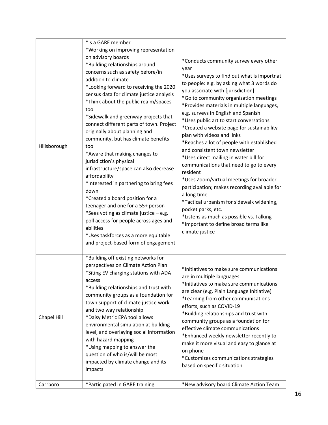|              | *Is a GARE member                                                                                                                                                                                                                                                                                                                                                                                                                                                                                                                                                                                                                                                                                                                                                                                                                                                                                   |                                                                                                                                                                                                                                                                                                                                                                                                                                                                                                                                                                                                                                                                                                                                                                                                                                                                                                            |
|--------------|-----------------------------------------------------------------------------------------------------------------------------------------------------------------------------------------------------------------------------------------------------------------------------------------------------------------------------------------------------------------------------------------------------------------------------------------------------------------------------------------------------------------------------------------------------------------------------------------------------------------------------------------------------------------------------------------------------------------------------------------------------------------------------------------------------------------------------------------------------------------------------------------------------|------------------------------------------------------------------------------------------------------------------------------------------------------------------------------------------------------------------------------------------------------------------------------------------------------------------------------------------------------------------------------------------------------------------------------------------------------------------------------------------------------------------------------------------------------------------------------------------------------------------------------------------------------------------------------------------------------------------------------------------------------------------------------------------------------------------------------------------------------------------------------------------------------------|
| Hillsborough | *Working on improving representation<br>on advisory boards<br>*Building relationships around<br>concerns such as safety before/in<br>addition to climate<br>*Looking forward to receiving the 2020<br>census data for climate justice analysis<br>*Think about the public realm/spaces<br>too<br>*Sidewalk and greenway projects that<br>connect different parts of town. Project<br>originally about planning and<br>community, but has climate benefits<br>too<br>*Aware that making changes to<br>jurisdiction's physical<br>infrastructure/space can also decrease<br>affordability<br>*Interested in partnering to bring fees<br>down<br>*Created a board position for a<br>teenager and one for a 55+ person<br>*Sees voting as climate justice - e.g.<br>poll access for people across ages and<br>abilities<br>*Uses taskforces as a more equitable<br>and project-based form of engagement | *Conducts community survey every other<br>year<br>*Uses surveys to find out what is importnat<br>to people: e.g. by asking what 3 words do<br>you associate with [jurisdiction]<br>*Go to community organization meetings<br>*Provides materials in multiple languages,<br>e.g. surveys in English and Spanish<br>*Uses public art to start conversations<br>*Created a website page for sustainability<br>plan with videos and links<br>*Reaches a lot of people with established<br>and consistent town newsletter<br>*Uses direct mailing in water bill for<br>communications that need to go to every<br>resident<br>*Uses Zoom/virtual meetings for broader<br>participation; makes recording available for<br>a long time<br>*Tactical urbanism for sidewalk widening,<br>pocket parks, etc.<br>*Listens as much as possible vs. Talking<br>*Important to define broad terms like<br>climate justice |
| Chapel Hill  | *Building off existing networks for<br>perspectives on Climate Action Plan<br>*Siting EV charging stations with ADA<br>access<br>*Building relationships and trust with<br>community groups as a foundation for<br>town support of climate justice work<br>and two way relationship<br>*Daisy Metric EPA tool allows<br>environmental simulation at building<br>level, and overlaying social information<br>with hazard mapping<br>*Using mapping to answer the<br>question of who is/will be most<br>impacted by climate change and its<br>impacts                                                                                                                                                                                                                                                                                                                                                 | *Initiatives to make sure communications<br>are in multiple languages<br>*Initiatives to make sure communications<br>are clear (e.g. Plain Language Initiative)<br>*Learning from other communications<br>efforts, such as COVID-19<br>*Building relationships and trust with<br>community groups as a foundation for<br>effective climate communications<br>*Enhanced weekly newsletter recently to<br>make it more visual and easy to glance at<br>on phone<br>*Customizes communications strategies<br>based on specific situation                                                                                                                                                                                                                                                                                                                                                                      |
| Carrboro     | *Participated in GARE training                                                                                                                                                                                                                                                                                                                                                                                                                                                                                                                                                                                                                                                                                                                                                                                                                                                                      | *New advisory board Climate Action Team                                                                                                                                                                                                                                                                                                                                                                                                                                                                                                                                                                                                                                                                                                                                                                                                                                                                    |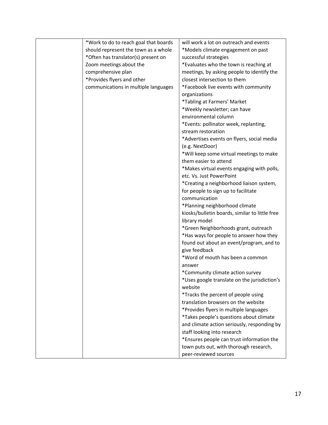| *Work to do to reach goal that boards | will work a lot on outreach and events         |
|---------------------------------------|------------------------------------------------|
| should represent the town as a whole  | *Models climate engagement on past             |
| *Often has translator(s) present on   | successful strategies                          |
| Zoom meetings about the               | *Evaluates who the town is reaching at         |
| comprehensive plan                    | meetings, by asking people to identify the     |
| *Provides flyers and other            | closest intersection to them                   |
| communications in multiple languages  | *Facebook live events with community           |
|                                       | organizations                                  |
|                                       | *Tabling at Farmers' Market                    |
|                                       | *Weekly newsletter; can have                   |
|                                       | environmental column                           |
|                                       | *Events: pollinator week, replanting,          |
|                                       | stream restoration                             |
|                                       | *Advertises events on flyers, social media     |
|                                       | (e.g. NextDoor)                                |
|                                       | *Will keep some virtual meetings to make       |
|                                       | them easier to attend                          |
|                                       | *Makes virtual events engaging with polls,     |
|                                       | etc. Vs. Just PowerPoint                       |
|                                       | *Creating a neighborhood liaison system,       |
|                                       | for people to sign up to facilitate            |
|                                       | communication                                  |
|                                       | *Planning neighborhood climate                 |
|                                       | kiosks/bulletin boards, similar to little free |
|                                       | library model                                  |
|                                       | *Green Neighborhoods grant, outreach           |
|                                       | *Has ways for people to answer how they        |
|                                       | found out about an event/program, and to       |
|                                       | give feedback                                  |
|                                       | *Word of mouth has been a common               |
|                                       | answer                                         |
|                                       | *Community climate action survey               |
|                                       | *Uses google translate on the jurisdiction's   |
|                                       | website                                        |
|                                       | *Tracks the percent of people using            |
|                                       | translation browsers on the website            |
|                                       | *Provides flyers in multiple languages         |
|                                       | *Takes people's questions about climate        |
|                                       | and climate action seriously, responding by    |
|                                       | staff looking into research                    |
|                                       | *Ensures people can trust information the      |
|                                       | town puts out, with thorough research,         |
|                                       |                                                |
|                                       | peer-reviewed sources                          |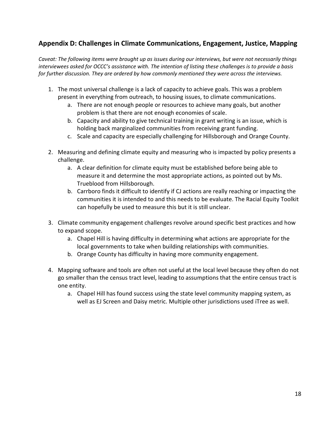# <span id="page-17-0"></span>**Appendix D: Challenges in Climate Communications, Engagement, Justice, Mapping**

*Caveat: The following items were brought up as issues during our interviews, but were not necessarily things interviewees asked for OCCC's assistance with. The intention of listing these challenges is to provide a basis for further discussion. They are ordered by how commonly mentioned they were across the interviews.*

- 1. The most universal challenge is a lack of capacity to achieve goals. This was a problem present in everything from outreach, to housing issues, to climate communications.
	- a. There are not enough people or resources to achieve many goals, but another problem is that there are not enough economies of scale.
	- b. Capacity and ability to give technical training in grant writing is an issue, which is holding back marginalized communities from receiving grant funding.
	- c. Scale and capacity are especially challenging for Hillsborough and Orange County.
- 2. Measuring and defining climate equity and measuring who is impacted by policy presents a challenge.
	- a. A clear definition for climate equity must be established before being able to measure it and determine the most appropriate actions, as pointed out by Ms. Trueblood from Hillsborough.
	- b. Carrboro finds it difficult to identify if CJ actions are really reaching or impacting the communities it is intended to and this needs to be evaluate. The Racial Equity Toolkit can hopefully be used to measure this but it is still unclear.
- 3. Climate community engagement challenges revolve around specific best practices and how to expand scope.
	- a. Chapel Hill is having difficulty in determining what actions are appropriate for the local governments to take when building relationships with communities.
	- b. Orange County has difficulty in having more community engagement.
- 4. Mapping software and tools are often not useful at the local level because they often do not go smaller than the census tract level, leading to assumptions that the entire census tract is one entity.
	- a. Chapel Hill has found success using the state level community mapping system, as well as EJ Screen and Daisy metric. Multiple other jurisdictions used iTree as well.